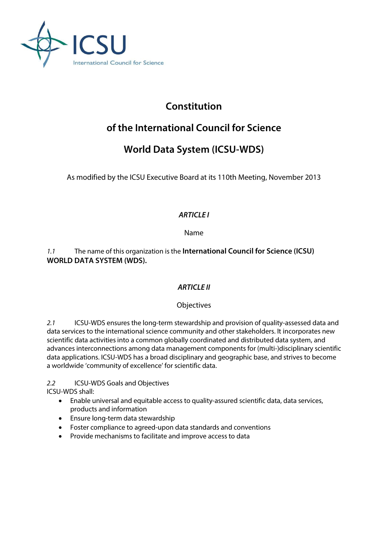

# **Constitution**

# **of the International Council for Science**

# **World Data System (ICSU-WDS)**

As modified by the ICSU Executive Board at its 110th Meeting, November 2013

# *ARTICLE I*

Name

*1.1* The name of this organization is the **International Council for Science (ICSU) WORLD DATA SYSTEM (WDS).**

## *ARTICLE II*

## **Objectives**

*2.1* ICSU-WDS ensures the long-term stewardship and provision of quality-assessed data and data services to the international science community and other stakeholders. It incorporates new scientific data activities into a common globally coordinated and distributed data system, and advances interconnections among data management components for (multi-)disciplinary scientific data applications. ICSU-WDS has a broad disciplinary and geographic base, and strives to become a worldwide 'community of excellence' for scientific data.

*2.2* ICSU-WDS Goals and Objectives

ICSU-WDS shall:

- Enable universal and equitable access to quality-assured scientific data, data services, products and information
- Ensure long-term data stewardship
- Foster compliance to agreed-upon data standards and conventions
- Provide mechanisms to facilitate and improve access to data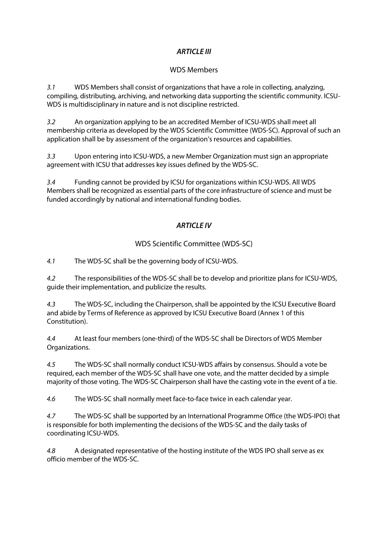## *ARTICLE III*

#### WDS Members

*3.1* WDS Members shall consist of organizations that have a role in collecting, analyzing, compiling, distributing, archiving, and networking data supporting the scientific community. ICSU-WDS is multidisciplinary in nature and is not discipline restricted.

*3.2* An organization applying to be an accredited Member of ICSU-WDS shall meet all membership criteria as developed by the WDS Scientific Committee (WDS-SC). Approval of such an application shall be by assessment of the organization's resources and capabilities.

*3.3* Upon entering into ICSU-WDS, a new Member Organization must sign an appropriate agreement with ICSU that addresses key issues defined by the WDS-SC.

*3.4* Funding cannot be provided by ICSU for organizations within ICSU-WDS. All WDS Members shall be recognized as essential parts of the core infrastructure of science and must be funded accordingly by national and international funding bodies.

## *ARTICLE IV*

## WDS Scientific Committee (WDS-SC)

*4.1* The WDS-SC shall be the governing body of ICSU-WDS.

*4.2* The responsibilities of the WDS-SC shall be to develop and prioritize plans for ICSU-WDS, guide their implementation, and publicize the results.

*4.3* The WDS-SC, including the Chairperson, shall be appointed by the ICSU Executive Board and abide by Terms of Reference as approved by ICSU Executive Board (Annex 1 of this Constitution).

*4.4* At least four members (one-third) of the WDS-SC shall be Directors of WDS Member Organizations.

*4.5* The WDS-SC shall normally conduct ICSU-WDS affairs by consensus. Should a vote be required, each member of the WDS-SC shall have one vote, and the matter decided by a simple majority of those voting. The WDS-SC Chairperson shall have the casting vote in the event of a tie.

*4.6* The WDS-SC shall normally meet face-to-face twice in each calendar year.

*4.7* The WDS-SC shall be supported by an International Programme Office (the WDS-IPO) that is responsible for both implementing the decisions of the WDS-SC and the daily tasks of coordinating ICSU-WDS.

*4.8* A designated representative of the hosting institute of the WDS IPO shall serve as ex officio member of the WDS-SC.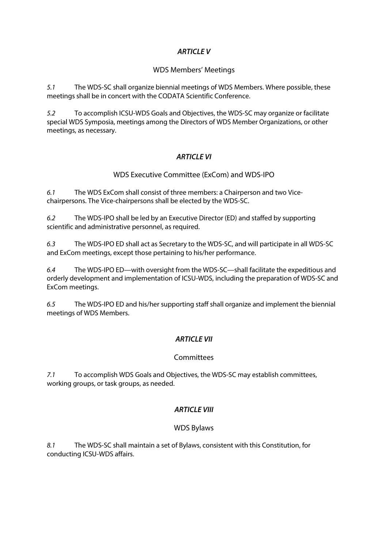### *ARTICLE V*

#### WDS Members' Meetings

*5.1* The WDS-SC shall organize biennial meetings of WDS Members. Where possible, these meetings shall be in concert with the CODATA Scientific Conference.

*5.2* To accomplish ICSU-WDS Goals and Objectives, the WDS-SC may organize or facilitate special WDS Symposia, meetings among the Directors of WDS Member Organizations, or other meetings, as necessary.

## *ARTICLE VI*

### WDS Executive Committee (ExCom) and WDS-IPO

*6.1* The WDS ExCom shall consist of three members: a Chairperson and two Vicechairpersons. The Vice-chairpersons shall be elected by the WDS-SC.

*6.2* The WDS-IPO shall be led by an Executive Director (ED) and staffed by supporting scientific and administrative personnel, as required.

*6.3* The WDS-IPO ED shall act as Secretary to the WDS-SC, and will participate in all WDS-SC and ExCom meetings, except those pertaining to his/her performance.

*6.4* The WDS-IPO ED—with oversight from the WDS-SC—shall facilitate the expeditious and orderly development and implementation of ICSU-WDS, including the preparation of WDS-SC and ExCom meetings.

*6.5* The WDS-IPO ED and his/her supporting staff shall organize and implement the biennial meetings of WDS Members.

### *ARTICLE VII*

#### **Committees**

*7.1* To accomplish WDS Goals and Objectives, the WDS-SC may establish committees, working groups, or task groups, as needed.

### *ARTICLE VIII*

#### WDS Bylaws

*8.1* The WDS-SC shall maintain a set of Bylaws, consistent with this Constitution, for conducting ICSU-WDS affairs.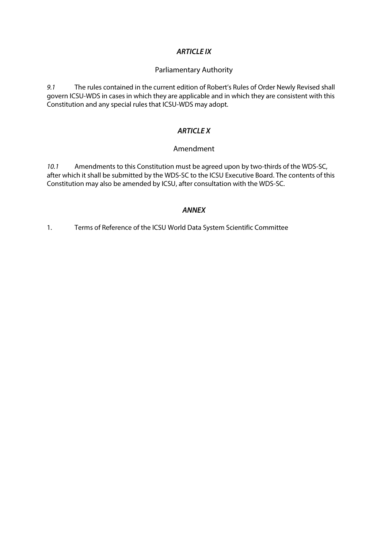#### *ARTICLE IX*

#### Parliamentary Authority

*9.1* The rules contained in the current edition of Robert's Rules of Order Newly Revised shall govern ICSU-WDS in cases in which they are applicable and in which they are consistent with this Constitution and any special rules that ICSU-WDS may adopt.

#### *ARTICLE X*

#### Amendment

*10.1* Amendments to this Constitution must be agreed upon by two-thirds of the WDS-SC, after which it shall be submitted by the WDS-SC to the ICSU Executive Board. The contents of this Constitution may also be amended by ICSU, after consultation with the WDS-SC.

#### *ANNEX*

1. Terms of Reference of the ICSU World Data System Scientific Committee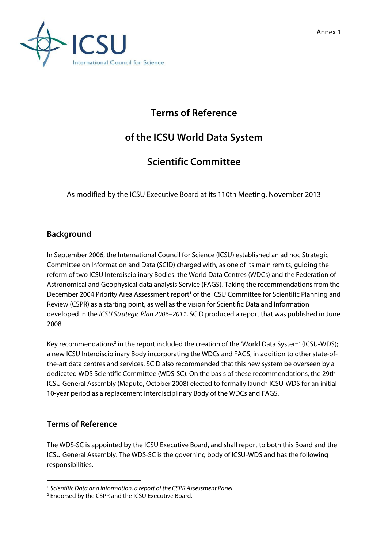



# **Terms of Reference**

# **of the ICSU World Data System**

# **Scientific Committee**

As modified by the ICSU Executive Board at its 110th Meeting, November 2013

# **Background**

In September 2006, the International Council for Science (ICSU) established an ad hoc Strategic Committee on Information and Data (SCID) charged with, as one of its main remits, guiding the reform of two ICSU Interdisciplinary Bodies: the World Data Centres (WDCs) and the Federation of Astronomical and Geophysical data analysis Service (FAGS). Taking the recommendations from the December 2004 Priority Area Assessment report<sup>1</sup> of the ICSU Committee for Scientific Planning and Review (CSPR) as a starting point, as well as the vision for Scientific Data and Information developed in the *ICSU Strategic Plan 2006–2011*, SCID produced a report that was published in June 2008.

Key recommendations<sup>2</sup> in the report included the creation of the 'World Data System' (ICSU-WDS); a new ICSU Interdisciplinary Body incorporating the WDCs and FAGS, in addition to other state-ofthe-art data centres and services. SCID also recommended that this new system be overseen by a dedicated WDS Scientific Committee (WDS-SC). On the basis of these recommendations, the 29th ICSU General Assembly (Maputo, October 2008) elected to formally launch ICSU-WDS for an initial 10-year period as a replacement Interdisciplinary Body of the WDCs and FAGS.

# **Terms of Reference**

The WDS-SC is appointed by the ICSU Executive Board, and shall report to both this Board and the ICSU General Assembly. The WDS-SC is the governing body of ICSU-WDS and has the following responsibilities.

**<sup>.</sup>** <sup>1</sup> *Scientific Data and Information, a report of the CSPR Assessment Panel*

<sup>2</sup> Endorsed by the CSPR and the ICSU Executive Board.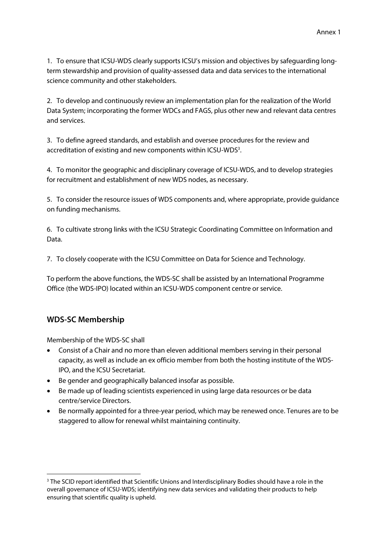1. To ensure that ICSU-WDS clearly supports ICSU's mission and objectives by safeguarding longterm stewardship and provision of quality-assessed data and data services to the international science community and other stakeholders.

2. To develop and continuously review an implementation plan for the realization of the World Data System; incorporating the former WDCs and FAGS, plus other new and relevant data centres and services.

3. To define agreed standards, and establish and oversee procedures for the review and accreditation of existing and new components within ICSU-WDS<sup>3</sup>.

4. To monitor the geographic and disciplinary coverage of ICSU-WDS, and to develop strategies for recruitment and establishment of new WDS nodes, as necessary.

5. To consider the resource issues of WDS components and, where appropriate, provide guidance on funding mechanisms.

6. To cultivate strong links with the ICSU Strategic Coordinating Committee on Information and Data.

7. To closely cooperate with the ICSU Committee on Data for Science and Technology.

To perform the above functions, the WDS-SC shall be assisted by an International Programme Office (the WDS-IPO) located within an ICSU-WDS component centre or service.

# **WDS-SC Membership**

**.** 

Membership of the WDS-SC shall

- Consist of a Chair and no more than eleven additional members serving in their personal capacity, as well as include an ex officio member from both the hosting institute of the WDS-IPO, and the ICSU Secretariat.
- Be gender and geographically balanced insofar as possible.
- Be made up of leading scientists experienced in using large data resources or be data centre/service Directors.
- Be normally appointed for a three-year period, which may be renewed once. Tenures are to be staggered to allow for renewal whilst maintaining continuity.

<sup>&</sup>lt;sup>3</sup> The SCID report identified that Scientific Unions and Interdisciplinary Bodies should have a role in the overall governance of ICSU-WDS; identifying new data services and validating their products to help ensuring that scientific quality is upheld.